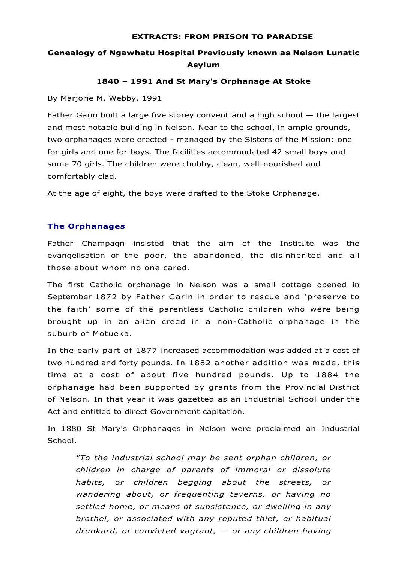#### **EXTRACTS: FROM PRISON TO PARADISE**

# **Genealogy of Ngawhatu Hospital Previously known as Nelson Lunatic Asylum**

## **1840 – 1991 And St Mary's Orphanage At Stoke**

By Marjorie M. Webby, 1991

Father Garin built a large five storey convent and a high school — the largest and most notable building in Nelson. Near to the school, in ample grounds, two orphanages were erected - managed by the Sisters of the Mission: one for girls and one for boys. The facilities accommodated 42 small boys and some 70 girls. The children were chubby, clean, well-nourished and comfortably clad.

At the age of eight, the boys were drafted to the Stoke Orphanage.

## **The Orphanages**

Father Champagn insisted that the aim of the Institute was the evangelisation of the poor, the abandoned, the disinherited and all those about whom no one cared.

The first Catholic orphanage in Nelson was a small cottage opened in September 1872 by Father Garin in order to rescue and 'preserve to the faith' some of the parentless Catholic children who were being brought up in an alien creed in a non-Catholic orphanage in the suburb of Motueka.

In the early part of 1877 increased accommodation was added at a cost of two hundred and forty pounds. In 1882 another addition was made, this time at a cost of about five hundred pounds. Up to 1884 the orphanage had been supported by grants from the Provincial District of Nelson. In that year it was gazetted as an Industrial School under the Act and entitled to direct Government capitation.

In 1880 St Mary's Orphanages in Nelson were proclaimed an Industrial School.

*"To the industrial school may be sent orphan children, or children in charge of parents of immoral or dissolute habits, or children begging about the streets, or wandering about, or frequenting taverns, or having no settled home, or means of subsistence, or dwelling in any brothel, or associated with any reputed thief, or habitual drunkard, or convicted vagrant, — or any children having*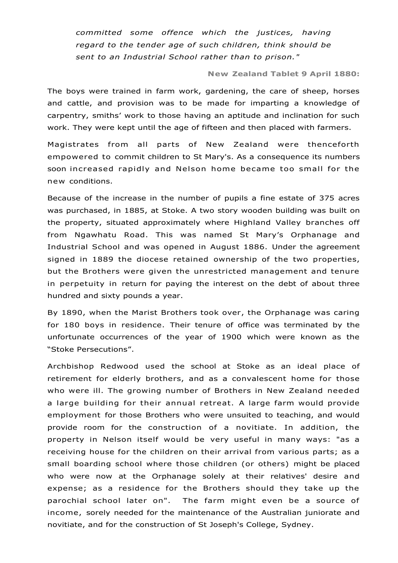*committed some offence which the justices, having regard to the tender age of such children, think should be sent to an Industrial School rather than to prison."*

#### **New Zealand Tablet 9 April 1880:**

The boys were trained in farm work, gardening, the care of sheep, horses and cattle, and provision was to be made for imparting a knowledge of carpentry, smiths' work to those having an aptitude and inclination for such work. They were kept until the age of fifteen and then placed with farmers.

Magistrates from all parts of New Zealand were thenceforth empowered to commit children to St Mary's. As a consequence its numbers soon increased rapidly and Nelson home became too small for the new conditions.

Because of the increase in the number of pupils a fine estate of 375 acres was purchased, in 1885, at Stoke. A two story wooden building was built on the property, situated approximately where Highland Valley branches off from Ngawhatu Road. This was named St Mary's Orphanage and Industrial School and was opened in August 1886. Under the agreement signed in 1889 the diocese retained ownership of the two properties, but the Brothers were given the unrestricted management and tenure in perpetuity in return for paying the interest on the debt of about three hundred and sixty pounds a year.

By 1890, when the Marist Brothers took over, the Orphanage was caring for 180 boys in residence. Their tenure of office was terminated by the unfortunate occurrences of the year of 1900 which were known as the "Stoke Persecutions".

Archbishop Redwood used the school at Stoke as an ideal place of retirement for elderly brothers, and as a convalescent home for those who were ill. The growing number of Brothers in New Zealand needed a large building for their annual retreat. A large farm would provide employment for those Brothers who were unsuited to teaching, and would provide room for the construction of a novitiate. In addition, the property in Nelson itself would be very useful in many ways: "as a receiving house for the children on their arrival from various parts; as a small boarding school where those children (or others) might be placed who were now at the Orphanage solely at their relatives' desire and expense; as a residence for the Brothers should they take up the parochial school later on". The farm might even be a source of income, sorely needed for the maintenance of the Australian juniorate and novitiate, and for the construction of St Joseph's College, Sydney.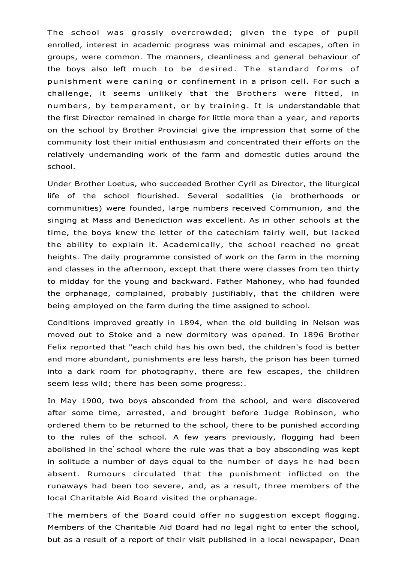The school was grossly overcrowded; given the type of pupil enrolled, interest in academic progress was minimal and escapes, often in groups, were common. The manners, cleanliness and general behaviour of the boys also left much to be desired. The standard forms of punishment were caning or confinement in a prison cell. For such a challenge, it seems unlikely that the Brothers were fitted, in numbers, by temperament, or by training. It is understandable that the first Director remained in charge for little more than a year, and reports on the school by Brother Provincial give the impression that some of the community lost their initial enthusiasm and concentrated their efforts on the relatively undemanding work of the farm and domestic duties around the school.

Under Brother Loetus, who succeeded Brother Cyril as Director, the liturgical life of the school flourished. Several sodalities (ie brotherhoods or communities) were founded, large numbers received Communion, and the singing at Mass and Benediction was excellent. As in other schools at the time, the boys knew the letter of the catechism fairly well, but lacked the ability to explain it. Academically, the school reached no great heights. The daily programme consisted of work on the farm in the morning and classes in the afternoon, except that there were classes from ten thirty to midday for the young and backward. Father Mahoney, who had founded the orphanage, complained, probably justifiably, that the children were being employed on the farm during the time assigned to school.

Conditions improved greatly in 1894, when the old building in Nelson was moved out to Stoke and a new dormitory was opened. In 1896 Brother Felix reported that "each child has his own bed, the children's food is better and more abundant, punishments are less harsh, the prison has been turned into a dark room for photography, there are few escapes, the children seem less wild; there has been some progress:.

In May 1900, two boys absconded from the school, and were discovered after some time, arrested, and brought before Judge Robinson, who ordered them to be returned to the school, there to be punished according to the rules of the school. A few years previously, flogging had been abolished in the' school where the rule was that a boy absconding was kept in solitude a number of days equal to the number of days he had been absent. Rumours circulated that the punishment inflicted on the runaways had been too severe, and, as a result, three members of the local Charitable Aid Board visited the orphanage.

The members of the Board could offer no suggestion except flogging. Members of the Charitable Aid Board had no legal right to enter the school, but as a result of a report of their visit published in a local newspaper, Dean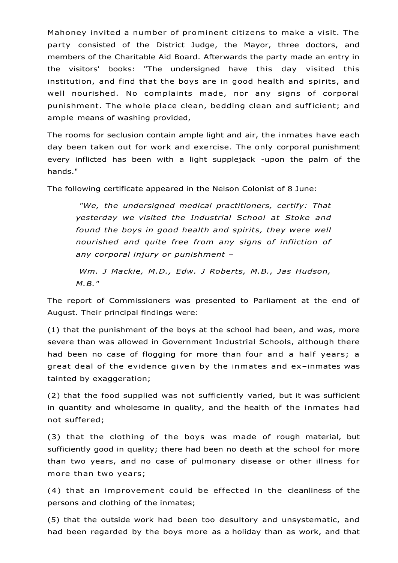Mahoney invited a number of prominent citizens to make a visit. The party consisted of the District Judge, the Mayor, three doctors, and members of the Charitable Aid Board. Afterwards the party made an entry in the visitors' books: "The undersigned have this day visited this institution, and find that the boys are in good health and spirits, and well nourished. No complaints made, nor any signs of corporal punishment. The whole place clean, bedding clean and sufficient; and ample means of washing provided,

The rooms for seclusion contain ample light and air, the inmates have each day been taken out for work and exercise. The only corporal punishment every inflicted has been with a light supplejack -upon the palm of the hands."

The following certificate appeared in the Nelson Colonist of 8 June:

*"We, the undersigned medical practitioners, certify: That yesterday we visited the Industrial School at Stoke and found the boys in good health and spirits, they were well nourished and quite free from any signs of infliction of any corporal injury or punishment –*

*Wm. J Mackie, M.D., Edw. J Roberts, M.B., Jas Hudson, M.B."* 

The report of Commissioners was presented to Parliament at the end of August. Their principal findings were:

(1) that the punishment of the boys at the school had been, and was, more severe than was allowed in Government Industrial Schools, although there had been no case of flogging for more than four and a half years; a great deal of the evidence given by the inmates and ex–inmates was tainted by exaggeration;

(2) that the food supplied was not sufficiently varied, but it was sufficient in quantity and wholesome in quality, and the health of the inmates had not suffered;

(3) that the clothing of the boys was made of rough material, but sufficiently good in quality; there had been no death at the school for more than two years, and no case of pulmonary disease or other illness for more than two years;

(4) that an improvement could be effected in the cleanliness of the persons and clothing of the inmates;

(5) that the outside work had been too desultory and unsystematic, and had been regarded by the boys more as a holiday than as work, and that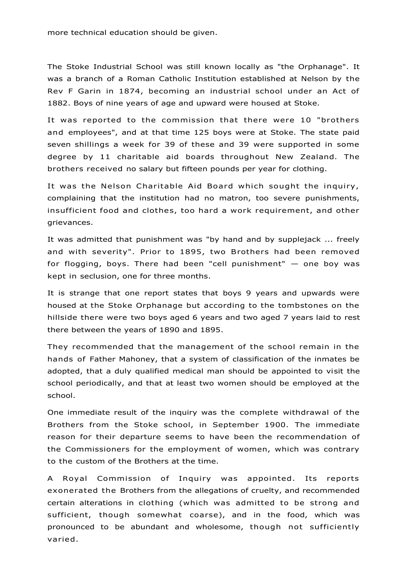more technical education should be given.

The Stoke Industrial School was still known locally as "the Orphanage". It was a branch of a Roman Catholic Institution established at Nelson by the Rev F Garin in 1874, becoming an industrial school under an Act of 1882. Boys of nine years of age and upward were housed at Stoke.

It was reported to the commission that there were 10 "brothers and employees", and at that time 125 boys were at Stoke. The state paid seven shillings a week for 39 of these and 39 were supported in some degree by 11 charitable aid boards throughout New Zealand. The brothers received no salary but fifteen pounds per year for clothing.

It was the Nelson Charitable Aid Board which sought the inquiry, complaining that the institution had no matron, too severe punishments, insufficient food and clothes, too hard a work requirement, and other grievances.

It was admitted that punishment was "by hand and by supplejack ... freely and with severity". Prior to 1895, two Brothers had been removed for flogging, boys. There had been "cell punishment" — one boy was kept in seclusion, one for three months.

It is strange that one report states that boys 9 years and upwards were housed at the Stoke Orphanage but according to the tombstones on the hillside there were two boys aged 6 years and two aged 7 years laid to rest there between the years of 1890 and 1895.

They recommended that the management of the school remain in the hands of Father Mahoney, that a system of classification of the inmates be adopted, that a duly qualified medical man should be appointed to visit the school periodically, and that at least two women should be employed at the school.

One immediate result of the inquiry was the complete withdrawal of the Brothers from the Stoke school, in September 1900. The immediate reason for their departure seems to have been the recommendation of the Commissioners for the employment of women, which was contrary to the custom of the Brothers at the time.

A Royal Commission of Inquiry was appointed. Its reports exonerated the Brothers from the allegations of cruelty, and recommended certain alterations in clothing (which was admitted to be strong and sufficient, though somewhat coarse), and in the food, which was pronounced to be abundant and wholesome, though not sufficiently varied.